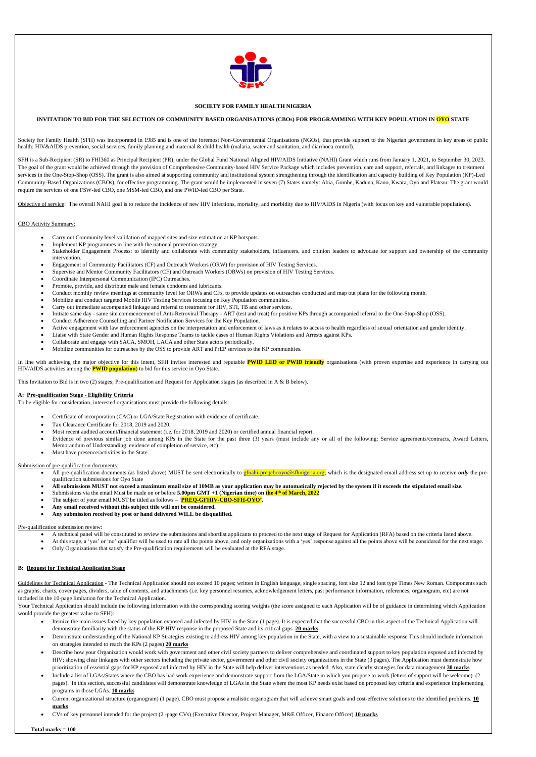

### **SOCIETY FOR FAMILY HEALTH NIGERIA**

#### **INVITATION TO BID FOR THE SELECTION OF COMMUNITY BASED ORGANISATIONS (CBOs) FOR PROGRAMMING WITH KEY POPULATION IN OYO STATE**

Society for Family Health (SFH) was incorporated in 1985 and is one of the foremost Non-Governmental Organisations (NGOs), that provide support to the Nigerian government in key areas of public health: HIV&AIDS prevention, social services, family planning and maternal & child health (malaria, water and sanitation, and diarrhoea control).

SFH is a Sub-Recipient (SR) to FHI360 as Principal Recipient (PR), under the Global Fund National Aligned HIV/AIDS Initiative (NAHI) Grant which runs from January 1, 2021, to September 30, 2023. The goal of the grant would be achieved through the provision of Comprehensive Community-based HIV Service Package which includes prevention, care and support, referrals, and linkages to treatment services in the One-Stop-Shop (OSS). The grant is also aimed at supporting community and institutional system strengthening through the identification and capacity building of Key Population (KP)-Led Community-Based Organizations (CBOs), for effective programming. The grant would be implemented in seven (7) States namely: Abia, Gombe, Kaduna, Kano, Kwara, Oyo and Plateau. The grant would require the services of one FSW-led CBO, one MSM-led CBO, and one PWID-led CBO per State.

Objective of service: The overall NAHI goal is to reduce the incidence of new HIV infections, mortality, and morbidity due to HIV/AIDS in Nigeria (with focus on key and vulnerable populations).

### CBO Activity Summary:

- Carry out Community level validation of mapped sites and size estimation at KP hotspots.
- Implement KP programmes in line with the national prevention strategy.
- Stakeholder Engagement Process: to identify and collaborate with community stakeholders, influencers, and opinion leaders to advocate for support and ownership of the community intervention.
- Engagement of Community Facilitators (CF) and Outreach Workers (ORW) for provision of HIV Testing Services.
- Supervise and Mentor Community Facilitators (CF) and Outreach Workers (ORWs) on provision of HIV Testing Services.
- Coordinate Interpersonal Communication (IPC) Outreaches.
- Promote, provide, and distribute male and female condoms and lubricants.
- Conduct monthly review meetings at community level for ORWs and CFs, to provide updates on outreaches conducted and map out plans for the following month.
- Mobilize and conduct targeted Mobile HIV Testing Services focusing on Key Population communities.
- Carry out immediate accompanied linkage and referral to treatment for HIV, STI, TB and other services.
- Initiate same day same site commencement of Anti-Retroviral Therapy ART (test and treat) for positive KPs through accompanied referral to the One-Stop-Shop (OSS).
- Conduct Adherence Counselling and Partner Notification Services for the Key Population.
- Active engagement with law enforcement agencies on the interpretation and enforcement of laws as it relates to access to health regardless of sexual orientation and gender identity.
- Liaise with State Gender and Human Rights Response Teams to tackle cases of Human Rights Violations and Arrests against KPs.
- Collaborate and engage with SACA, SMOH, LACA and other State actors periodically.
- Mobilize communities for outreaches by the OSS to provide ART and PrEP services to the KP communities.

- All pre-qualification documents (as listed above) MUST be sent electronically to *efinahi-preqcbooyo@sfhnigeria.org*; which is the designated email address set up to receive *only* the prequalification submissions for Oyo State
- **All submissions MUST not exceed a maximum email size of 10MB as your application may be automatically rejected by the system if it exceeds the stipulated email size.**
- Submissions via the email Must be made on or before **5.00pm GMT +1 (Nigerian time) on the 4 th of March, 2022**
- The subject of your email MUST be titled as follows '**PREQ-GFHIV-CBO-SFH-OYO'.**
- **Any email received without this subject title will not be considered.**
- **Any submission received by post or hand delivered WILL be disqualified.**

Guidelines for Technical Application - The Technical Application should not exceed 10 pages; written in English language, single spacing, font size 12 and font type Times New Roman. Components such as graphs, charts, cover pages, dividers, table of contents, and attachments (i.e. key personnel resumes, acknowledgement letters, past performance information, references, organogram, etc) are not included in the 10-page limitation for the Technical Application.

Your Technical Application should include the following information with the corresponding scoring weights (the score assigned to each Application will be of guidance in determining which Application would provide the greatest value to SFH):

In line with achieving the major objective for this intent, SFH invites interested and reputable **PWID LED or PWID friendly** organisations (with proven expertise and experience in carrying out HIV/AIDS activities among the **PWID population**) to bid for this service in Oyo State.

This Invitation to Bid is in two (2) stages; Pre-qualification and Request for Application stages (as described in A & B below).

### **A: Pre-qualification Stage - Eligibility Criteria**

To be eligible for consideration, interested organisations must provide the following details:

- Certificate of incorporation (CAC) or LGA/State Registration with evidence of certificate.
- Tax Clearance Certificate for 2018, 2019 and 2020.
- Most recent audited account/financial statement (i.e. for 2018, 2019 and 2020) or certified annual financial report.
- Evidence of previous similar job done among KPs in the State for the past three (3) years (must include any or all of the following: Service agreements/contracts, Award Letters, Memorandum of Understanding, evidence of completion of service, etc)
- Must have presence/activities in the State.

#### Submission of pre-qualification documents:

#### Pre-qualification submission review:

- A technical panel will be constituted to review the submissions and shortlist applicants to proceed to the next stage of Request for Application (RFA) based on the criteria listed above.
- At this stage, a 'yes' or 'no' qualifier will be used to rate all the points above, and only organizations with a 'yes' response against all the points above will be considered for the next stage.
- Only Organizations that satisfy the Pre-qualification requirements will be evaluated at the RFA stage.

### **B: Request for Technical Application Stage**

- Itemize the main issues faced by key population exposed and infected by HIV in the State (1 page). It is expected that the successful CBO in this aspect of the Technical Application will demonstrate familiarity with the status of the KP HIV response in the proposed State and its critical gaps. **20 marks**
- Demonstrate understanding of the National KP Strategies existing to address HIV among key population in the State, with a view to a sustainable response This should include information on strategies intended to reach the KPs (2 pages) **20 marks**
- Describe how your Organization would work with government and other civil society partners to deliver comprehensive and coordinated support to key population exposed and infected by HIV; showing clear linkages with other sectors including the private sector, government and other civil society organizations in the State (3 pages). The Application must demonstrate how prioritization of essential gaps for KP exposed and infected by HIV in the State will help deliver interventions as needed. Also, state clearly strategies for data management **30 marks**
- Include a list of LGAs/States where the CBO has had work experience and demonstrate support from the LGA/State in which you propose to work (letters of support will be welcome). (2 pages). In this section, successful candidates will demonstrate knowledge of LGAs in the State where the most KP needs exist based on proposed key criteria and experience implementing programs in those LGAs. **10 marks**
- Current organizational structure (organogram) (1 page). CBO must propose a realistic organogram that will achieve smart goals and cost-effective solutions to the identified problems. **10 marks**
- CVs of key personnel intended for the project (2 -page CVs) (Executive Director, Project Manager, M&E Officer, Finance Officer) **10 marks**

 **Total marks = 100**